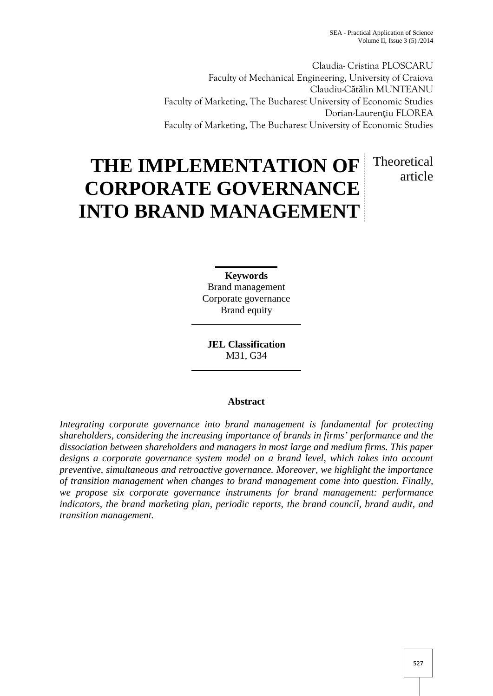article

Claudia- Cristina PLOSCARU Faculty of Mechanical Engineering, University of Craiova Claudiu-C t lin MUNTEANU Faculty of Marketing, The Bucharest University of Economic Studies Dorian-Lauren iu FLOREA Faculty of Marketing, The Bucharest University of Economic Studies

# **THE IMPLEMENTATION OF CORPORATE GOVERNANCE INTO BRAND MANAGEMENT** Theoretical

**Keywords** Brand management Corporate governance Brand equity

**JEL Classification** M31, G34

## **Abstract**

*Integrating corporate governance into brand management is fundamental for protecting shareholders, considering the increasing importance of brands in firms' performance and the dissociation between shareholders and managers in most large and medium firms. This paper designs a corporate governance system model on a brand level, which takes into account preventive, simultaneous and retroactive governance. Moreover, we highlight the importance of transition management when changes to brand management come into question. Finally, we propose six corporate governance instruments for brand management: performance indicators, the brand marketing plan, periodic reports, the brand council, brand audit, and transition management.*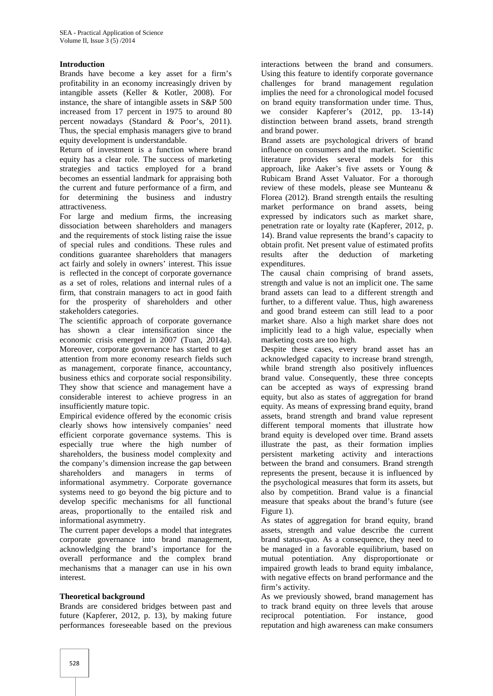### **Introduction**

Brands have become a key asset for a firm's profitability in an economy increasingly driven by intangible assets (Keller & Kotler, 2008). For instance, the share of intangible assets in S&P 500 increased from 17 percent in 1975 to around 80 percent nowadays (Standard & Poor's, 2011). Thus, the special emphasis managers give to brand equity development is understandable.

Return of investment is a function where brand equity has a clear role. The success of marketing strategies and tactics employed for a brand becomes an essential landmark for appraising both the current and future performance of a firm, and for determining the business and industry attractiveness.

For large and medium firms, the increasing dissociation between shareholders and managers and the requirements of stock listing raise the issue of special rules and conditions. These rules and conditions guarantee shareholders that managers act fairly and solely in owners' interest. This issue is reflected in the concept of corporate governance as a set of roles, relations and internal rules of a firm, that constrain managers to act in good faith for the prosperity of shareholders and other stakeholders categories.

The scientific approach of corporate governance has shown a clear intensification since the economic crisis emerged in 2007 (Tuan, 2014a). Moreover, corporate governance has started to get attention from more economy research fields such as management, corporate finance, accountancy, business ethics and corporate social responsibility. They show that science and management have a considerable interest to achieve progress in an insufficiently mature topic.

Empirical evidence offered by the economic crisis clearly shows how intensively companies' need efficient corporate governance systems. This is especially true where the high number of shareholders, the business model complexity and the company's dimension increase the gap between shareholders and managers in terms of informational asymmetry. Corporate governance systems need to go beyond the big picture and to develop specific mechanisms for all functional areas, proportionally to the entailed risk and informational asymmetry.

The current paper develops a model that integrates corporate governance into brand management, acknowledging the brand's importance for the overall performance and the complex brand mechanisms that a manager can use in his own interest.

#### **Theoretical background**

Brands are considered bridges between past and future (Kapferer, 2012, p. 13), by making future performances foreseeable based on the previous

interactions between the brand and consumers. Using this feature to identify corporate governance challenges for brand management regulation implies the need for a chronological model focused on brand equity transformation under time. Thus, we consider Kapferer's (2012, pp. 13-14) distinction between brand assets, brand strength and brand power.

Brand assets are psychological drivers of brand influence on consumers and the market. Scientific literature provides several models for this approach, like Aaker's five assets or Young & Rubicam Brand Asset Valuator. For a thorough review of these models, please see Munteanu & Florea (2012). Brand strength entails the resulting market performance on brand assets, being expressed by indicators such as market share, penetration rate or loyalty rate (Kapferer, 2012, p. 14). Brand value represents the brand's capacity to obtain profit. Net present value of estimated profits results after the deduction of marketing expenditures.

The causal chain comprising of brand assets, strength and value is not an implicit one. The same brand assets can lead to a different strength and further, to a different value. Thus, high awareness and good brand esteem can still lead to a poor market share. Also a high market share does not implicitly lead to a high value, especially when marketing costs are too high.

Despite these cases, every brand asset has an acknowledged capacity to increase brand strength, while brand strength also positively influences brand value. Consequently, these three concepts can be accepted as ways of expressing brand equity, but also as states of aggregation for brand equity. As means of expressing brand equity, brand assets, brand strength and brand value represent different temporal moments that illustrate how brand equity is developed over time. Brand assets illustrate the past, as their formation implies persistent marketing activity and interactions between the brand and consumers. Brand strength represents the present, because it is influenced by the psychological measures that form its assets, but also by competition. Brand value is a financial measure that speaks about the brand's future (see Figure 1).

As states of aggregation for brand equity, brand assets, strength and value describe the current brand status-quo. As a consequence, they need to be managed in a favorable equilibrium, based on mutual potentiation. Any disproportionate or impaired growth leads to brand equity imbalance, with negative effects on brand performance and the firm's activity.

As we previously showed, brand management has to track brand equity on three levels that arouse reciprocal potentiation. For instance, good reputation and high awareness can make consumers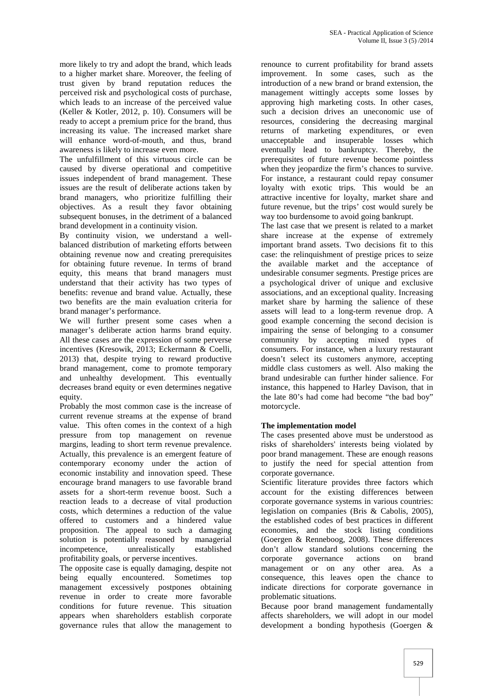more likely to try and adopt the brand, which leads to a higher market share. Moreover, the feeling of trust given by brand reputation reduces the perceived risk and psychological costs of purchase, which leads to an increase of the perceived value (Keller & Kotler, 2012, p. 10). Consumers will be ready to accept a premium price for the brand, thus increasing its value. The increased market share will enhance word-of-mouth, and thus, brand awareness is likely to increase even more.

The unfulfillment of this virtuous circle can be caused by diverse operational and competitive issues independent of brand management. These issues are the result of deliberate actions taken by brand managers, who prioritize fulfilling their objectives. As a result they favor obtaining subsequent bonuses, in the detriment of a balanced brand development in a continuity vision.

By continuity vision, we understand a well balanced distribution of marketing efforts between obtaining revenue now and creating prerequisites for obtaining future revenue. In terms of brand equity, this means that brand managers must understand that their activity has two types of benefits: revenue and brand value. Actually, these two benefits are the main evaluation criteria for brand manager's performance.

We will further present some cases when a manager's deliberate action harms brand equity. All these cases are the expression of some perverse incentives (Kresowik, 2013; Eckermann & Coelli, 2013) that, despite trying to reward productive brand management, come to promote temporary and unhealthy development. This eventually decreases brand equity or even determines negative equity.

Probably the most common case is the increase of current revenue streams at the expense of brand value. This often comes in the context of a high pressure from top management on revenue margins, leading to short term revenue prevalence. Actually, this prevalence is an emergent feature of contemporary economy under the action of economic instability and innovation speed. These encourage brand managers to use favorable brand assets for a short-term revenue boost. Such a reaction leads to a decrease of vital production costs, which determines a reduction of the value offered to customers and a hindered value proposition. The appeal to such a damaging solution is potentially reasoned by managerial incompetence, unrealistically established profitability goals, or perverse incentives.

The opposite case is equally damaging, despite not being equally encountered. Sometimes top management excessively postpones obtaining revenue in order to create more favorable conditions for future revenue. This situation appears when shareholders establish corporate governance rules that allow the management to

renounce to current profitability for brand assets improvement. In some cases, such as the introduction of a new brand or brand extension, the management wittingly accepts some losses by approving high marketing costs. In other cases, such a decision drives an uneconomic use of resources, considering the decreasing marginal returns of marketing expenditures, or even unacceptable and insuperable losses which eventually lead to bankruptcy. Thereby, the prerequisites of future revenue become pointless when they jeopardize the firm's chances to survive. For instance, a restaurant could repay consumer loyalty with exotic trips. This would be an attractive incentive for loyalty, market share and future revenue, but the trips' cost would surely be way too burdensome to avoid going bankrupt.

The last case that we present is related to a market share increase at the expense of extremely important brand assets. Two decisions fit to this case: the relinquishment of prestige prices to seize the available market and the acceptance of undesirable consumer segments. Prestige prices are a psychological driver of unique and exclusive associations, and an exceptional quality. Increasing market share by harming the salience of these assets will lead to a long-term revenue drop. A good example concerning the second decision is impairing the sense of belonging to a consumer community by accepting mixed types of consumers. For instance, when a luxury restaurant doesn't select its customers anymore, accepting middle class customers as well. Also making the brand undesirable can further hinder salience. For instance, this happened to Harley Davison, that in the late 80's had come had become "the bad boy" motorcycle.

## **The implementation model**

The cases presented above must be understood as risks of shareholders' interests being violated by poor brand management. These are enough reasons to justify the need for special attention from corporate governance.

Scientific literature provides three factors which account for the existing differences between corporate governance systems in various countries: legislation on companies (Bris & Cabolis, 2005), the established codes of best practices in different economies, and the stock listing conditions (Goergen & Renneboog, 2008). These differences don't allow standard solutions concerning the corporate governance actions on brand management or on any other area. As a consequence, this leaves open the chance to indicate directions for corporate governance in problematic situations.

Because poor brand management fundamentally affects shareholders, we will adopt in our model development a bonding hypothesis (Goergen &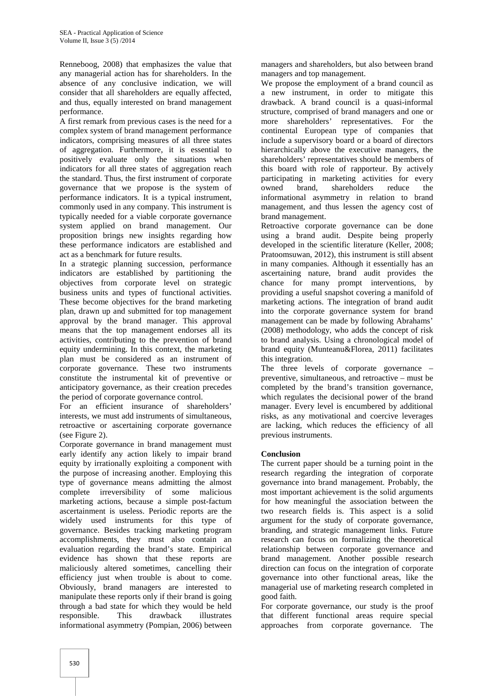Renneboog, 2008) that emphasizes the value that any managerial action has for shareholders. In the absence of any conclusive indication, we will consider that all shareholders are equally affected, and thus, equally interested on brand management performance.

A first remark from previous cases is the need for a complex system of brand management performance indicators, comprising measures of all three states of aggregation. Furthermore, it is essential to positively evaluate only the situations when indicators for all three states of aggregation reach the standard. Thus, the first instrument of corporate governance that we propose is the system of performance indicators. It is a typical instrument, commonly used in any company. This instrument is typically needed for a viable corporate governance system applied on brand management. Our proposition brings new insights regarding how these performance indicators are established and act as a benchmark for future results.

In a strategic planning succession, performance indicators are established by partitioning the objectives from corporate level on strategic business units and types of functional activities. These become objectives for the brand marketing plan, drawn up and submitted for top management approval by the brand manager. This approval means that the top management endorses all its activities, contributing to the prevention of brand equity undermining. In this context, the marketing plan must be considered as an instrument of corporate governance. These two instruments constitute the instrumental kit of preventive or anticipatory governance, as their creation precedes the period of corporate governance control.

For an efficient insurance of shareholders' interests, we must add instruments of simultaneous, retroactive or ascertaining corporate governance (see Figure 2).

Corporate governance in brand management must early identify any action likely to impair brand equity by irrationally exploiting a component with the purpose of increasing another. Employing this type of governance means admitting the almost complete irreversibility of some malicious marketing actions, because a simple post-factum ascertainment is useless. Periodic reports are the widely used instruments for this type of governance. Besides tracking marketing program accomplishments, they must also contain an evaluation regarding the brand's state. Empirical evidence has shown that these reports are maliciously altered sometimes, cancelling their efficiency just when trouble is about to come. Obviously, brand managers are interested to manipulate these reports only if their brand is going through a bad state for which they would be held responsible. This drawback illustrates informational asymmetry (Pompian, 2006) between

managers and shareholders, but also between brand managers and top management.

We propose the employment of a brand council as a new instrument, in order to mitigate this drawback. A brand council is a quasi-informal structure, comprised of brand managers and one or more shareholders' representatives. For the continental European type of companies that include a supervisory board or a board of directors hierarchically above the executive managers, the shareholders' representatives should be members of this board with role of rapporteur. By actively participating in marketing activities for every owned brand, shareholders reduce the informational asymmetry in relation to brand management, and thus lessen the agency cost of brand management.

Retroactive corporate governance can be done using a brand audit. Despite being properly developed in the scientific literature (Keller, 2008; Pratoomsuwan, 2012), this instrument is still absent in many companies. Although it essentially has an ascertaining nature, brand audit provides the chance for many prompt interventions, by providing a useful snapshot covering a manifold of marketing actions. The integration of brand audit into the corporate governance system for brand management can be made by following Abrahams' (2008) methodology, who adds the concept of risk to brand analysis. Using a chronological model of brand equity (Munteanu&Florea, 2011) facilitates this integration.

The three levels of corporate governance – preventive, simultaneous, and retroactive – must be completed by the brand's transition governance, which regulates the decisional power of the brand manager. Every level is encumbered by additional risks, as any motivational and coercive leverages are lacking, which reduces the efficiency of all previous instruments.

## **Conclusion**

The current paper should be a turning point in the research regarding the integration of corporate governance into brand management. Probably, the most important achievement is the solid arguments for how meaningful the association between the two research fields is. This aspect is a solid argument for the study of corporate governance, branding, and strategic management links. Future research can focus on formalizing the theoretical relationship between corporate governance and brand management. Another possible research direction can focus on the integration of corporate governance into other functional areas, like the managerial use of marketing research completed in good faith.

For corporate governance, our study is the proof that different functional areas require special approaches from corporate governance. The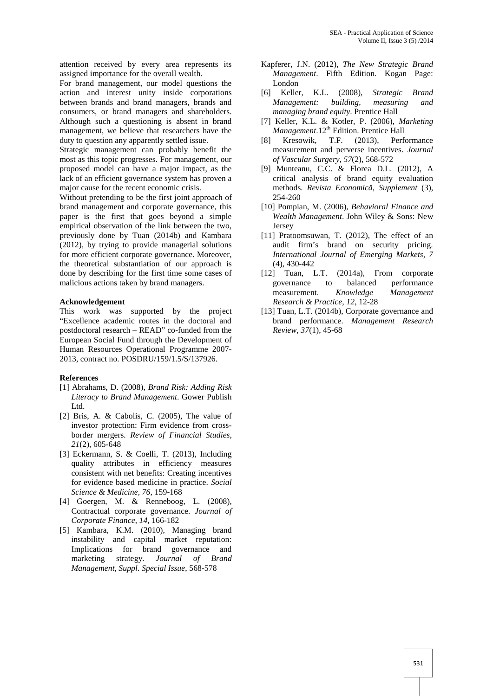attention received by every area represents its assigned importance for the overall wealth.

For brand management, our model questions the action and interest unity inside corporations between brands and brand managers, brands and consumers, or brand managers and shareholders. Although such a questioning is absent in brand management, we believe that researchers have the duty to question any apparently settled issue.

Strategic management can probably benefit the most as this topic progresses. For management, our proposed model can have a major impact, as the lack of an efficient governance system has proven a major cause for the recent economic crisis.

Without pretending to be the first joint approach of brand management and corporate governance, this paper is the first that goes beyond a simple empirical observation of the link between the two, previously done by Tuan (2014b) and Kambara (2012), by trying to provide managerial solutions for more efficient corporate governance. Moreover, the theoretical substantiation of our approach is done by describing for the first time some cases of malicious actions taken by brand managers.

#### **Acknowledgement**

This work was supported by the project "Excellence academic routes in the doctoral and postdoctoral research – READ" co-funded from the European Social Fund through the Development of Human Resources Operational Programme 2007- 2013, contract no. POSDRU/159/1.5/S/137926.

#### **References**

- [1] Abrahams, D. (2008), *Brand Risk: Adding Risk Literacy to Brand Management*. Gower Publish Ltd.
- [2] Bris, A. & Cabolis, C. (2005), The value of investor protection: Firm evidence from cross border mergers. *Review of Financial Studies*, *21*(2), 605-648
- [3] Eckermann, S. & Coelli, T. (2013), Including quality attributes in efficiency measures consistent with net benefits: Creating incentives for evidence based medicine in practice. *Social Science & Medicine*, *76*, 159-168
- [4] Goergen, M. & Renneboog, L. (2008), Contractual corporate governance. *Journal of Corporate Finance*, *14*, 166-182
- [5] Kambara, K.M. (2010), Managing brand instability and capital market reputation: Implications for brand governance and marketing strategy. *Journal of Brand Management*, *Suppl. Special Issue*, 568-578
- Kapferer, J.N. (2012), *The New Strategic Brand Management*. Fifth Edition. Kogan Page: London
- [6] Keller, K.L. (2008), *Strategic Brand Management: building, measuring and managing brand equity*. Prentice Hall
- [7] Keller, K.L. & Kotler, P. (2006), *Marketing Management*.12<sup>th</sup> Edition. Prentice Hall
- [8] Kresowik, T.F. (2013), Performance measurement and perverse incentives. *Journal of Vascular Surgery*, *57*(2), 568-572
- [9] Munteanu, C.C. & Florea D.L. (2012), A critical analysis of brand equity evaluation methods. *Revista Economic , Supplement* (3), 254-260
- [10] Pompian, M. (2006), *Behavioral Finance and Wealth Management*. John Wiley & Sons: New Jersey
- [11] Pratoomsuwan, T. (2012), The effect of an audit firm's brand on security pricing. *International Journal of Emerging Markets, 7* (4), 430-442
- [12] Tuan, L.T. (2014a), From corporate governance to balanced performance measurement. *Knowledge Management Research & Practice*, *12*, 12-28
- [13] Tuan, L.T. (2014b), Corporate governance and brand performance. *Management Research Review, 37*(1), 45-68